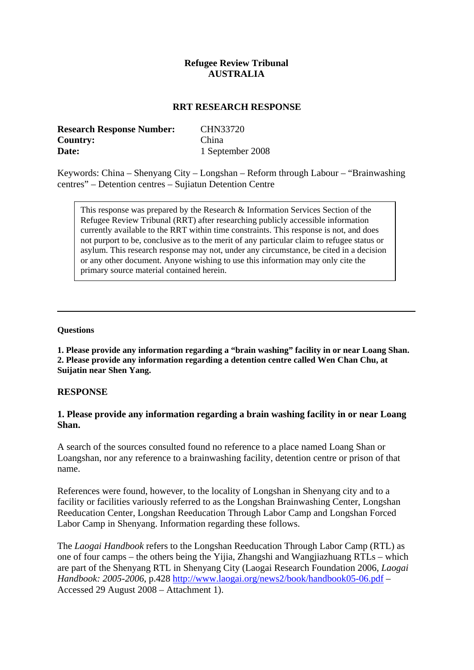## **Refugee Review Tribunal AUSTRALIA**

### **RRT RESEARCH RESPONSE**

| <b>Research Response Number:</b> | CHN33720         |
|----------------------------------|------------------|
| Country:                         | China            |
| <b>Date:</b>                     | 1 September 2008 |

Keywords: China – Shenyang City – Longshan – Reform through Labour – "Brainwashing centres" – Detention centres – Sujiatun Detention Centre

This response was prepared by the Research & Information Services Section of the Refugee Review Tribunal (RRT) after researching publicly accessible information currently available to the RRT within time constraints. This response is not, and does not purport to be, conclusive as to the merit of any particular claim to refugee status or asylum. This research response may not, under any circumstance, be cited in a decision or any other document. Anyone wishing to use this information may only cite the primary source material contained herein.

#### **Questions**

**1. Please provide any information regarding a "brain washing" facility in or near Loang Shan. 2. Please provide any information regarding a detention centre called Wen Chan Chu, at Suijatin near Shen Yang.**

#### **RESPONSE**

## **1. Please provide any information regarding a brain washing facility in or near Loang Shan.**

A search of the sources consulted found no reference to a place named Loang Shan or Loangshan, nor any reference to a brainwashing facility, detention centre or prison of that name.

References were found, however, to the locality of Longshan in Shenyang city and to a facility or facilities variously referred to as the Longshan Brainwashing Center, Longshan Reeducation Center, Longshan Reeducation Through Labor Camp and Longshan Forced Labor Camp in Shenyang. Information regarding these follows.

The *Laogai Handbook* refers to the Longshan Reeducation Through Labor Camp (RTL) as one of four camps – the others being the Yijia, Zhangshi and Wangjiazhuang RTLs – which are part of the Shenyang RTL in Shenyang City (Laogai Research Foundation 2006, *Laogai Handbook: 2005-2006*, p.428<http://www.laogai.org/news2/book/handbook05-06.pdf>– Accessed 29 August 2008 – Attachment 1).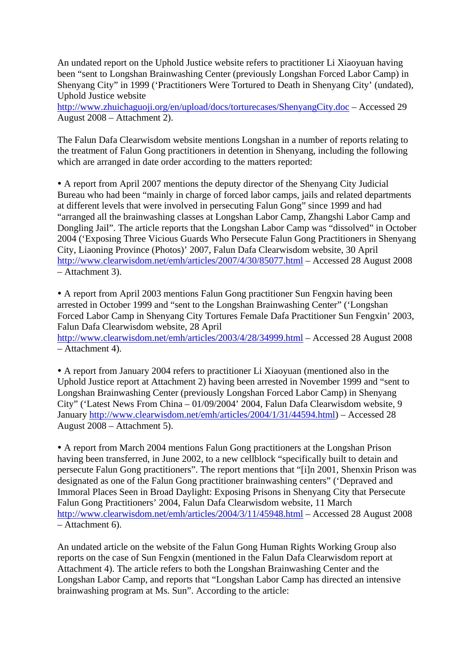An undated report on the Uphold Justice website refers to practitioner Li Xiaoyuan having been "sent to Longshan Brainwashing Center (previously Longshan Forced Labor Camp) in Shenyang City" in 1999 ('Practitioners Were Tortured to Death in Shenyang City' (undated), Uphold Justice website

<http://www.zhuichaguoji.org/en/upload/docs/torturecases/ShenyangCity.doc>– Accessed 29 August 2008 – Attachment 2).

The Falun Dafa Clearwisdom website mentions Longshan in a number of reports relating to the treatment of Falun Gong practitioners in detention in Shenyang, including the following which are arranged in date order according to the matters reported:

• A report from April 2007 mentions the deputy director of the Shenyang City Judicial Bureau who had been "mainly in charge of forced labor camps, jails and related departments at different levels that were involved in persecuting Falun Gong" since 1999 and had "arranged all the brainwashing classes at Longshan Labor Camp, Zhangshi Labor Camp and Dongling Jail". The article reports that the Longshan Labor Camp was "dissolved" in October 2004 ('Exposing Three Vicious Guards Who Persecute Falun Gong Practitioners in Shenyang City, Liaoning Province (Photos)' 2007, Falun Dafa Clearwisdom website, 30 April <http://www.clearwisdom.net/emh/articles/2007/4/30/85077.html>– Accessed 28 August 2008 – Attachment 3).

y A report from April 2003 mentions Falun Gong practitioner Sun Fengxin having been arrested in October 1999 and "sent to the Longshan Brainwashing Center" ('Longshan Forced Labor Camp in Shenyang City Tortures Female Dafa Practitioner Sun Fengxin' 2003, Falun Dafa Clearwisdom website, 28 April <http://www.clearwisdom.net/emh/articles/2003/4/28/34999.html>– Accessed 28 August 2008 – Attachment 4).

• A report from January 2004 refers to practitioner Li Xiaoyuan (mentioned also in the Uphold Justice report at Attachment 2) having been arrested in November 1999 and "sent to Longshan Brainwashing Center (previously Longshan Forced Labor Camp) in Shenyang City" ('Latest News From China – 01/09/2004' 2004, Falun Dafa Clearwisdom website, 9 January<http://www.clearwisdom.net/emh/articles/2004/1/31/44594.html>) – Accessed 28 August 2008 – Attachment 5).

• A report from March 2004 mentions Falun Gong practitioners at the Longshan Prison having been transferred, in June 2002, to a new cellblock "specifically built to detain and persecute Falun Gong practitioners". The report mentions that "[i]n 2001, Shenxin Prison was designated as one of the Falun Gong practitioner brainwashing centers" ('Depraved and Immoral Places Seen in Broad Daylight: Exposing Prisons in Shenyang City that Persecute Falun Gong Practitioners' 2004, Falun Dafa Clearwisdom website, 11 March <http://www.clearwisdom.net/emh/articles/2004/3/11/45948.html>– Accessed 28 August 2008 – Attachment 6).

An undated article on the website of the Falun Gong Human Rights Working Group also reports on the case of Sun Fengxin (mentioned in the Falun Dafa Clearwisdom report at Attachment 4). The article refers to both the Longshan Brainwashing Center and the Longshan Labor Camp, and reports that "Longshan Labor Camp has directed an intensive brainwashing program at Ms. Sun". According to the article: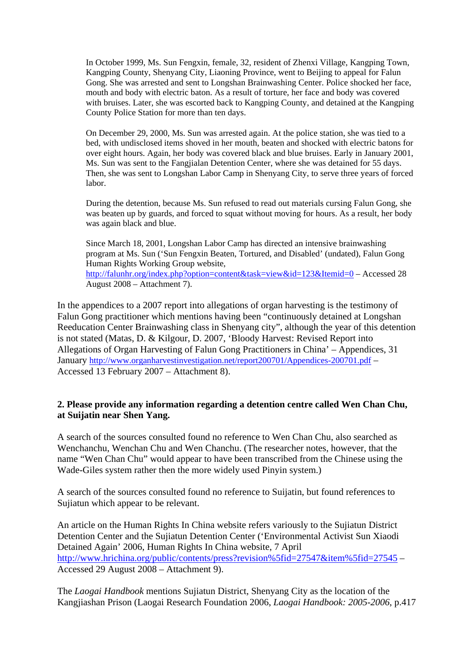In October 1999, Ms. Sun Fengxin, female, 32, resident of Zhenxi Village, Kangping Town, Kangping County, Shenyang City, Liaoning Province, went to Beijing to appeal for Falun Gong. She was arrested and sent to Longshan Brainwashing Center. Police shocked her face, mouth and body with electric baton. As a result of torture, her face and body was covered with bruises. Later, she was escorted back to Kangping County, and detained at the Kangping County Police Station for more than ten days.

On December 29, 2000, Ms. Sun was arrested again. At the police station, she was tied to a bed, with undisclosed items shoved in her mouth, beaten and shocked with electric batons for over eight hours. Again, her body was covered black and blue bruises. Early in January 2001, Ms. Sun was sent to the Fangjialan Detention Center, where she was detained for 55 days. Then, she was sent to Longshan Labor Camp in Shenyang City, to serve three years of forced labor.

During the detention, because Ms. Sun refused to read out materials cursing Falun Gong, she was beaten up by guards, and forced to squat without moving for hours. As a result, her body was again black and blue.

Since March 18, 2001, Longshan Labor Camp has directed an intensive brainwashing program at Ms. Sun ('Sun Fengxin Beaten, Tortured, and Disabled' (undated), Falun Gong Human Rights Working Group website, <http://falunhr.org/index.php?option=content&task=view&id=123&Itemid=0> – Accessed 28 August 2008 – Attachment 7).

In the appendices to a 2007 report into allegations of organ harvesting is the testimony of Falun Gong practitioner which mentions having been "continuously detained at Longshan Reeducation Center Brainwashing class in Shenyang city", although the year of this detention is not stated (Matas, D. & Kilgour, D. 2007, 'Bloody Harvest: Revised Report into Allegations of Organ Harvesting of Falun Gong Practitioners in China' – Appendices, 31 January<http://www.organharvestinvestigation.net/report200701/Appendices-200701.pdf> – Accessed 13 February 2007 – Attachment 8).

## **2. Please provide any information regarding a detention centre called Wen Chan Chu, at Suijatin near Shen Yang.**

A search of the sources consulted found no reference to Wen Chan Chu, also searched as Wenchanchu, Wenchan Chu and Wen Chanchu. (The researcher notes, however, that the name "Wen Chan Chu" would appear to have been transcribed from the Chinese using the Wade-Giles system rather then the more widely used Pinyin system.)

A search of the sources consulted found no reference to Suijatin, but found references to Sujiatun which appear to be relevant.

An article on the Human Rights In China website refers variously to the Sujiatun District Detention Center and the Sujiatun Detention Center ('Environmental Activist Sun Xiaodi Detained Again' 2006, Human Rights In China website, 7 April <http://www.hrichina.org/public/contents/press?revision%5fid=27547&item%5fid=27545> – Accessed 29 August 2008 – Attachment 9).

The *Laogai Handbook* mentions Sujiatun District, Shenyang City as the location of the Kangjiashan Prison (Laogai Research Foundation 2006, *Laogai Handbook: 2005-2006*, p.417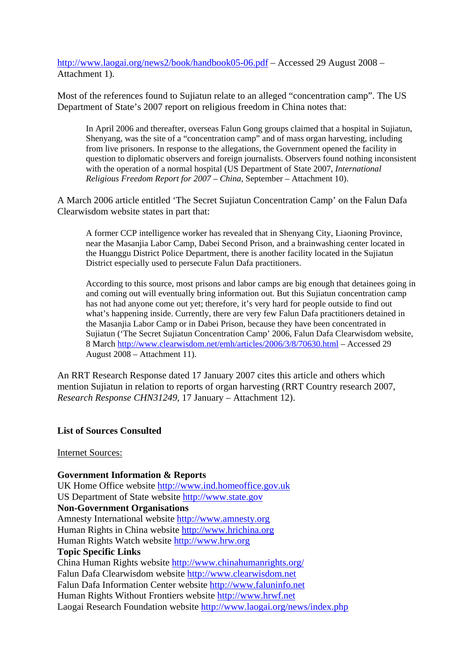<http://www.laogai.org/news2/book/handbook05-06.pdf>– Accessed 29 August 2008 – Attachment 1).

Most of the references found to Sujiatun relate to an alleged "concentration camp". The US Department of State's 2007 report on religious freedom in China notes that:

In April 2006 and thereafter, overseas Falun Gong groups claimed that a hospital in Sujiatun, Shenyang, was the site of a "concentration camp" and of mass organ harvesting, including from live prisoners. In response to the allegations, the Government opened the facility in question to diplomatic observers and foreign journalists. Observers found nothing inconsistent with the operation of a normal hospital (US Department of State 2007, *International Religious Freedom Report for 2007 – China*, September – Attachment 10).

A March 2006 article entitled 'The Secret Sujiatun Concentration Camp' on the Falun Dafa Clearwisdom website states in part that:

A former CCP intelligence worker has revealed that in Shenyang City, Liaoning Province, near the Masanjia Labor Camp, Dabei Second Prison, and a brainwashing center located in the Huanggu District Police Department, there is another facility located in the Sujiatun District especially used to persecute Falun Dafa practitioners.

According to this source, most prisons and labor camps are big enough that detainees going in and coming out will eventually bring information out. But this Sujiatun concentration camp has not had anyone come out yet; therefore, it's very hard for people outside to find out what's happening inside. Currently, there are very few Falun Dafa practitioners detained in the Masanjia Labor Camp or in Dabei Prison, because they have been concentrated in Sujiatun ('The Secret Sujiatun Concentration Camp' 2006, Falun Dafa Clearwisdom website, 8 March <http://www.clearwisdom.net/emh/articles/2006/3/8/70630.html> – Accessed 29 August 2008 – Attachment 11).

An RRT Research Response dated 17 January 2007 cites this article and others which mention Sujiatun in relation to reports of organ harvesting (RRT Country research 2007, *Research Response CHN31249*, 17 January – Attachment 12).

### **List of Sources Consulted**

#### Internet Sources:

**Government Information & Reports**  UK Home Office website [http://www.ind.homeoffice.gov.uk](http://www.ind.homeoffice.gov.uk/)  US Department of State website [http://www.state.gov](http://www.state.gov/) **Non-Government Organisations**  Amnesty International website [http://www.amnesty.org](http://www.amnesty.org/)  Human Rights in China website [http://www.hrichina.org](http://www.hrichina.org/) Human Rights Watch website [http://www.hrw.org](http://www.hrw.org/)  **Topic Specific Links**  China Human Rights website<http://www.chinahumanrights.org/> Falun Dafa Clearwisdom website [http://www.clearwisdom.net](http://www.clearwisdom.net/)  Falun Dafa Information Center website [http://www.faluninfo.net](http://www.faluninfo.net/)  Human Rights Without Frontiers website [http://www.hrwf.net](http://www.hrwf.net/) Laogai Research Foundation website <http://www.laogai.org/news/index.php>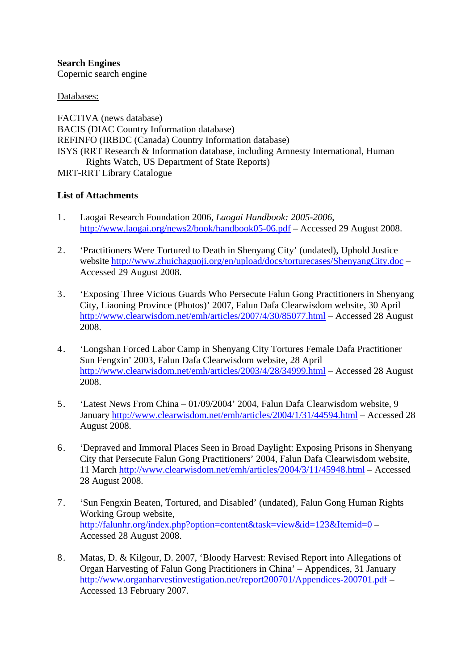**Search Engines**  Copernic search engine

Databases:

FACTIVA (news database) BACIS (DIAC Country Information database) REFINFO (IRBDC (Canada) Country Information database) ISYS (RRT Research & Information database, including Amnesty International, Human Rights Watch, US Department of State Reports) MRT-RRT Library Catalogue

# **List of Attachments**

- 1. Laogai Research Foundation 2006, *Laogai Handbook: 2005-2006*, <http://www.laogai.org/news2/book/handbook05-06.pdf> – Accessed 29 August 2008.
- 2. 'Practitioners Were Tortured to Death in Shenyang City' (undated), Uphold Justice website<http://www.zhuichaguoji.org/en/upload/docs/torturecases/ShenyangCity.doc>– Accessed 29 August 2008.
- 3. 'Exposing Three Vicious Guards Who Persecute Falun Gong Practitioners in Shenyang City, Liaoning Province (Photos)' 2007, Falun Dafa Clearwisdom website, 30 April <http://www.clearwisdom.net/emh/articles/2007/4/30/85077.html> – Accessed 28 August 2008.
- 4. 'Longshan Forced Labor Camp in Shenyang City Tortures Female Dafa Practitioner Sun Fengxin' 2003, Falun Dafa Clearwisdom website, 28 April <http://www.clearwisdom.net/emh/articles/2003/4/28/34999.html> – Accessed 28 August 2008.
- 5. 'Latest News From China 01/09/2004' 2004, Falun Dafa Clearwisdom website, 9 January <http://www.clearwisdom.net/emh/articles/2004/1/31/44594.html>– Accessed 28 August 2008.
- 6. 'Depraved and Immoral Places Seen in Broad Daylight: Exposing Prisons in Shenyang City that Persecute Falun Gong Practitioners' 2004, Falun Dafa Clearwisdom website, 11 March <http://www.clearwisdom.net/emh/articles/2004/3/11/45948.html>– Accessed 28 August 2008.
- 7. 'Sun Fengxin Beaten, Tortured, and Disabled' (undated), Falun Gong Human Rights Working Group website, <http://falunhr.org/index.php?option=content&task=view&id=123&Itemid=0> – Accessed 28 August 2008.
- 8. Matas, D. & Kilgour, D. 2007, 'Bloody Harvest: Revised Report into Allegations of Organ Harvesting of Falun Gong Practitioners in China' – Appendices, 31 January <http://www.organharvestinvestigation.net/report200701/Appendices-200701.pdf>– Accessed 13 February 2007.